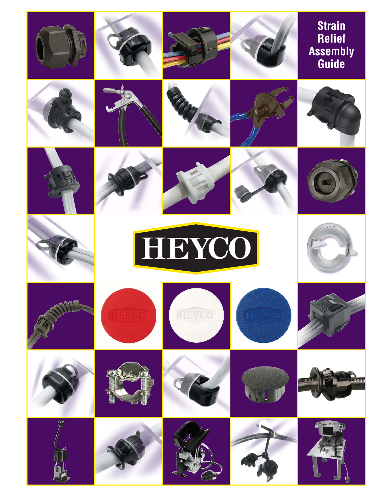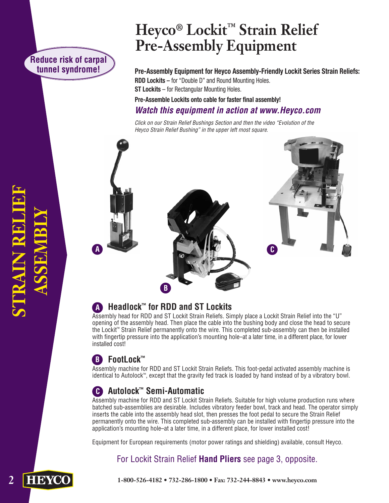## **Reduce risk of carpal tunnel syndrome!**

# **Heyco® Lockit™ Strain Relief Pre-Assembly Equipment**

**Pre-Assembly Equipment for Heyco Assembly-Friendly Lockit Series Strain Reliefs: RDD Lockits** – for "Double D" and Round Mounting Holes. **ST Lockits** – for Rectangular Mounting Holes.

**Pre-Assemble Lockits onto cable for faster final assembly!**

## **Watch this equipment in action at www.Heyco.com**

Click on our Strain Relief Bushings Section and then the video "Evolution of the Heyco Strain Relief Bushing" in the upper left most square.



## **A Headlock™ for RDD and ST Lockits**

Assembly head for RDD and ST Lockit Strain Reliefs. Simply place a Lockit Strain Relief into the "U" opening of the assembly head. Then place the cable into the bushing body and close the head to secure the Lockit™ Strain Relief permanently onto the wire. This completed sub-assembly can then be installed with fingertip pressure into the application's mounting hole–at a later time, in a different place, for lower installed cost!

## **B FootLock™**

Assembly machine for RDD and ST Lockit Strain Reliefs. This foot-pedal activated assembly machine is identical to Autolock™, except that the gravity fed track is loaded by hand instead of by a vibratory bowl.

## **C Autolock™ Semi-Automatic**

Assembly machine for RDD and ST Lockit Strain Reliefs. Suitable for high volume production runs where batched sub-assemblies are desirable. Includes vibratory feeder bowl, track and head. The operator simply inserts the cable into the assembly head slot, then presses the foot pedal to secure the Strain Relief permanently onto the wire. This completed sub-assembly can be installed with fingertip pressure into the application's mounting hole–at a later time, in a different place, for lower installed cost!

Equipment for European requirements (motor power ratings and shielding) available, consult Heyco.

## For Lockit Strain Relief **Hand Pliers** see page 3, opposite.

**2 STRAIN RELIEF ASSEMBLY TRAIN REI** 

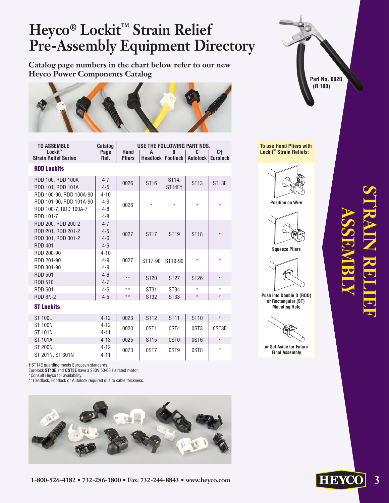# **Heyco® Lockit™ Strain Relief Pre-Assembly Equipment Directory**

**Catalog page numbers in the chart below refer to our new Heyco Power Components Catalog**



| <b>TO ASSEMBLE</b>                     | Catalog      | USE THE FOLLOWING PART NOS. |                                           |  |  |  |  |  |  |  |
|----------------------------------------|--------------|-----------------------------|-------------------------------------------|--|--|--|--|--|--|--|
| Lockit™<br><b>Strain Relief Series</b> | Page<br>Ref. | Hand<br><b>Pliers</b>       | Headlock   Footlock   Autolock   Eurolock |  |  |  |  |  |  |  |
| <b>RDD Lockits</b>                     |              |                             |                                           |  |  |  |  |  |  |  |

| RDD 100, RDD 100A<br>RDD 101, RDD 101A                                                   | $4 - 7$<br>$4 - 5$                        | 0026  | ST <sub>16</sub> | ST <sub>14</sub><br>ST14Et | ST <sub>13</sub> | ST <sub>13E</sub> |
|------------------------------------------------------------------------------------------|-------------------------------------------|-------|------------------|----------------------------|------------------|-------------------|
| RDD 100-90, RDD 100A-90<br>RDD 101-90, RDD 101A-90<br>RDD 100-7, RDD 100A-7<br>RDD 101-7 | $4 - 10$<br>$4 - 9$<br>$4 - 8$<br>$4 - 8$ | 0026  | $\star$          | $\star$                    | $\star$          | $\star$           |
| RDD 200, RDD 200-2<br>RDD 201, RDD 201-2<br>RDD 301, RDD 301-2<br><b>RDD 401</b>         | $4 - 7$<br>$4 - 5$<br>$4 - 6$<br>$4 - 6$  | 0027  | <b>ST17</b>      | <b>ST19</b>                | <b>ST18</b>      | $\star$           |
| RDD 200-90<br>RDD 201-90<br>RDD 301-90                                                   | $4 - 10$<br>$4 - 9$<br>$4 - 9$            | 0027  | ST17-90          | ST19-90                    | $\star$          | $\star$           |
| <b>RDD 501</b><br><b>RDD 510</b>                                                         | $4 - 6$<br>$4 - 7$                        | $* *$ | <b>ST20</b>      | <b>ST27</b>                | <b>ST26</b>      | $\star$           |
| <b>RDD 601</b>                                                                           | 4-6                                       | $**$  | ST31             | ST34                       | $\star$          | $\star$           |
| RDD 6N-2                                                                                 | $4 - 5$                                   | $* *$ | ST32             | <b>ST33</b>                | $\star$          | $\star$           |
| <b>ST Lockits</b>                                                                        |                                           |       |                  |                            |                  |                   |

| <b>ST 100L</b>   | $4 - 12$ | 0023 | <b>ST12</b>      | <b>ST11</b>      | ST <sub>10</sub> | $\star$ |
|------------------|----------|------|------------------|------------------|------------------|---------|
| <b>ST 100N</b>   | $4 - 12$ | 0020 | 0ST <sub>1</sub> | 0ST4             | 0ST <sub>3</sub> | 0ST3E   |
| <b>ST 101N</b>   | $4 - 11$ |      |                  |                  |                  |         |
| <b>ST 101A</b>   | $4 - 13$ | 0025 | ST <sub>15</sub> | 0ST <sub>0</sub> | 0ST <sub>6</sub> | $\star$ |
| <b>ST 200N</b>   | $4 - 12$ | 0073 | 0ST7             | 0ST <sub>9</sub> | 0ST <sub>8</sub> | $\star$ |
| ST 201N, ST 301N | $4 - 11$ |      |                  |                  |                  |         |

† ST14E guarding meets European standards.

Eurolock **ST13E** and **OST3E** have a 230V 50/60 Hz rated motor.

\*Consult Heyco for availability.

\*\*Headlock, Footlock or Autolock required due to cable thickness.





**To use Hand Pliers with Lockit™ Strain Reliefs:**



**Position on Wire**



**Squeeze Pliers**



**Push into Double D (RDD) or Rectangular (ST) Mounting Hole**



**Final Assembly**

# **STRAIN RELIEF ASSEMBLY**

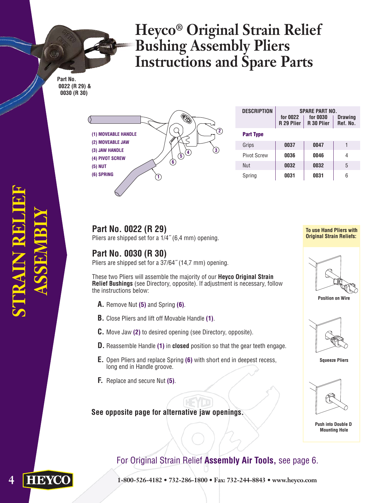# **Heyco® Original Strain Relief Bushing Assembly Pliers Instructions and Spare Parts**

**Part No. 0022 (R 29) & 0030 (R 30)**



| <b>DESCRIPTION</b> | <b>SPARE PART NO.</b><br>for 0022<br>R 29 Plier | <b>Drawing</b><br>Ref. No. |   |  |
|--------------------|-------------------------------------------------|----------------------------|---|--|
| <b>Part Type</b>   |                                                 |                            |   |  |
| Grips              | 0037                                            | 0047                       |   |  |
| <b>Pivot Screw</b> | 0036                                            | 0046                       | 4 |  |
| Nut                | 0032                                            | 0032                       | 5 |  |
| Spring             | 0031                                            | 0031                       | 6 |  |

## **Part No. 0022 (R 29)**

Pliers are shipped set for a 1/4˝ (6,4 mm) opening.

### **Part No. 0030 (R 30)**

Pliers are shipped set for a 37/64˝ (14,7 mm) opening.

These two Pliers will assemble the majority of our **Heyco Original Strain Relief Bushings** (see Directory, opposite). If adjustment is necessary, follow the instructions below:

- **A.** Remove Nut **(5)** and Spring **(6)**.
- **B.** Close Pliers and lift off Movable Handle **(1)**.
- **C.** Move Jaw **(2)** to desired opening (see Directory, opposite).
- **D.** Reassemble Handle **(1)** in **closed** position so that the gear teeth engage.
- **E.** Open Pliers and replace Spring **(6)** with short end in deepest recess, long end in Handle groove.
- **F.** Replace and secure Nut **(5)**.

#### **See opposite page for alternative jaw openings.**

#### **To use Hand Pliers with Original Strain Reliefs:**



**Position on Wire**



**Squeeze Pliers**



**Push into Double D Mounting Hole**

## For Original Strain Relief **Assembly Air Tools,** see page 6.

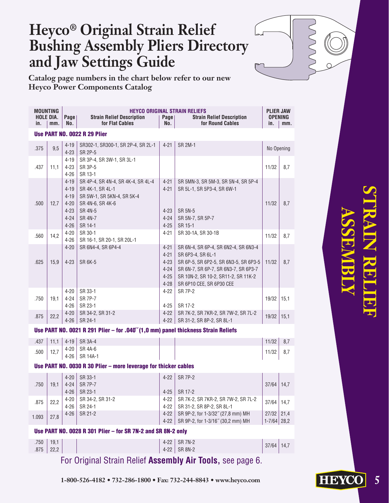# **Heyco® Original Strain Relief Bushing Assembly Pliers Directory and Jaw Settings Guide**

**Catalog page numbers in the chart below refer to our new Heyco Power Components Catalog**

| <b>MOUNTING</b><br><b>HOLE DIA.</b><br>in. | mm.          | Page<br>No.                                                                      | <b>Strain Relief Description</b><br>for Flat Cables                                                                                                     | Page<br>No.                                                          | <b>HEYCO ORIGINAL STRAIN RELIEFS</b><br><b>Strain Relief Description</b><br>for Round Cables                                                                                                                  | <b>PLIER JAW</b><br>in.         | <b>OPENING</b><br>mm. |
|--------------------------------------------|--------------|----------------------------------------------------------------------------------|---------------------------------------------------------------------------------------------------------------------------------------------------------|----------------------------------------------------------------------|---------------------------------------------------------------------------------------------------------------------------------------------------------------------------------------------------------------|---------------------------------|-----------------------|
|                                            |              |                                                                                  | <b>Use PART NO. 0022 R 29 Plier</b>                                                                                                                     |                                                                      |                                                                                                                                                                                                               |                                 |                       |
| .375                                       | 9,5          | $4 - 19$<br>$4 - 23$                                                             | SR302-1, SR300-1, SR 2P-4, SR 2L-1<br>SR 2P-5                                                                                                           | $4 - 21$                                                             | <b>SR 2M-1</b>                                                                                                                                                                                                | No Opening                      |                       |
| .437                                       | 11,1         | $4 - 19$<br>$4 - 23$<br>$4 - 26$                                                 | SR 3P-4, SR 3W-1, SR 3L-1<br>SR 3P-5<br>SR 13-1                                                                                                         |                                                                      |                                                                                                                                                                                                               | 11/32                           | 8,7                   |
| .500                                       | 12,7         | $4 - 19$<br>$4 - 19$<br>$4 - 19$<br>$4 - 20$<br>$4 - 23$<br>$4 - 24$<br>$4 - 26$ | SR 4P-4, SR 4N-4, SR 4K-4, SR 4L-4<br>SR 4K-1, SR 4L-1<br>SR 5W-1, SR 5KN-4, SR 5K-4<br>SR 4N-6, SR 4K-6<br><b>SR 4N-5</b><br><b>SR 4N-7</b><br>SR 14-1 | $4 - 21$<br>$4 - 21$<br>$4 - 23$<br>$4 - 24$<br>$4 - 25$             | SR 5MN-3, SR 5M-3, SR 5N-4, SR 5P-4<br>SR 5L-1, SR 5P3-4, SR 6W-1<br><b>SR 5N-5</b><br>SR 5N-7, SR 5P-7<br>SR 15-1                                                                                            | 11/32                           | 8,7                   |
| .560                                       | 14,2         | $4 - 20$<br>$4 - 26$                                                             | SR 30-1<br>SR 16-1, SR 20-1, SR 20L-1                                                                                                                   | 4-21                                                                 | SR 30-1A, SR 30-1B                                                                                                                                                                                            | 11/32                           | 8,7                   |
| .625                                       | 15,9         | $4 - 20$<br>$4 - 23$                                                             | SR 6N4-4, SR 6P4-4<br><b>SR 6K-5</b>                                                                                                                    | $4 - 21$<br>$4 - 21$<br>$4 - 23$<br>$4 - 24$<br>$4 - 25$<br>$4 - 28$ | SR 6N-4, SR 6P-4, SR 6N2-4, SR 6N3-4<br>SR 6P3-4, SR 6L-1<br>SR 6P-5, SR 6P2-5, SR 6N3-5, SR 6P3-5<br>SR 6N-7, SR 6P-7, SR 6N3-7, SR 6P3-7<br>SR 10N-2, SR 10-2, SR11-2, SR 11K-2<br>SR 6P10 CEE, SR 6P30 CEE | 11/32                           | 8,7                   |
| .750                                       | 19.1         | $4 - 20$<br>4-24<br>$4 - 26$                                                     | SR 33-1<br><b>SR 7P-7</b><br>SR 23-1                                                                                                                    | $4 - 22$<br>$4 - 25$                                                 | <b>SR 7P-2</b><br>SR 17-2                                                                                                                                                                                     | 19/32                           | 15,1                  |
| .875                                       | 22,2         | $4 - 20$<br>$4 - 26$                                                             | SR 34-2, SR 31-2<br>SR 24-1                                                                                                                             | $4 - 22$<br>$4 - 22$                                                 | SR 7K-2, SR 7KR-2, SR 7W-2, SR 7L-2<br>SR 31-2, SR 8P-2, SR 8L-1                                                                                                                                              | 19/32                           | 15,1                  |
|                                            |              |                                                                                  | Use PART NO. 0021 R 291 Plier - for .040"(1,0 mm) panel thickness Strain Reliefs                                                                        |                                                                      |                                                                                                                                                                                                               |                                 |                       |
| .437                                       | 11,1         | $4 - 19$                                                                         | <b>SR 3A-4</b>                                                                                                                                          |                                                                      |                                                                                                                                                                                                               | 11/32                           | 8,7                   |
| .500                                       | 12,7         | $4 - 20$<br>$4 - 26$                                                             | SR 4A-6<br>SR 14A-1                                                                                                                                     |                                                                      |                                                                                                                                                                                                               | 11/32                           | 8,7                   |
|                                            |              |                                                                                  | Use PART NO. 0030 R 30 Plier - more leverage for thicker cables                                                                                         |                                                                      |                                                                                                                                                                                                               |                                 |                       |
|                                            |              | $4 - 20$                                                                         | SR 33-1                                                                                                                                                 | $4 - 22$                                                             | <b>SR 7P-2</b>                                                                                                                                                                                                |                                 |                       |
| .750                                       | 19,1         | $4 - 24$<br>$4 - 26$                                                             | <b>SR 7P-7</b><br>SR 23-1                                                                                                                               | $4 - 25$                                                             | SR 17-2                                                                                                                                                                                                       | 37/64                           | 14,7                  |
| .875                                       | 22,2         | $4 - 20$<br>$4 - 26$                                                             | SR 34-2, SR 31-2<br>SR 24-1                                                                                                                             | 4-22<br>$4-22$                                                       | SR 7K-2, SR 7KR-2, SR 7W-2, SR 7L-2<br>SR 31-2, SR 8P-2, SR 8L-1                                                                                                                                              | 37/64                           | 14,7                  |
| 1.093                                      | 27,8         | $4 - 26$                                                                         | SR 21-2                                                                                                                                                 | $4-22$<br>$4-22$                                                     | SR 9P-2, for 1-3/32" (27,8 mm) MH<br>SR 9P-2, for 1-3/16" (30,2 mm) MH                                                                                                                                        | $27/32$ 21,4<br>$1 - 7/64$ 28,2 |                       |
|                                            |              |                                                                                  | Use PART NO. 0028 R 301 Plier - for SR 7N-2 and SR 8N-2 only                                                                                            |                                                                      |                                                                                                                                                                                                               |                                 |                       |
| .750<br>.875                               | 19,1<br>22,2 |                                                                                  |                                                                                                                                                         | $4-22$<br>$4 - 22$                                                   | <b>SR 7N-2</b><br><b>SR 8N-2</b>                                                                                                                                                                              | 37/64                           | 14,7                  |

For Original Strain Relief **Assembly Air Tools,** see page 6.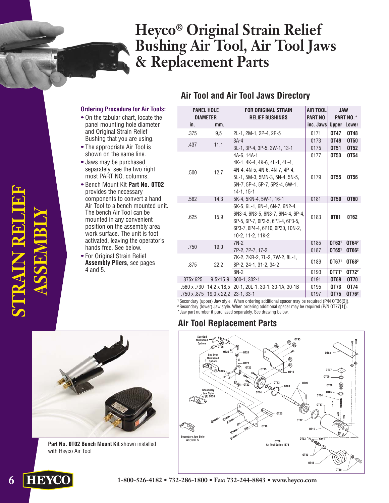# **Heyco® Original Strain Relief Bushing Air Tool, Air Tool Jaws & Replacement Parts**

#### **Air Tool and Air Tool Jaws Directory**

#### **Ordering Procedure for Air Tools:**

- On the tabular chart, locate the panel mounting hole diameter and Original Strain Relief Bushing that you are using.
- The appropriate Air Tool is shown on the same line.
- Jaws may be purchased separately, see the two right most PART NO. columns.
- Bench Mount Kit **Part No. 0T02** provides the necessary components to convert a hand Air Tool to a bench mounted unit. The bench Air Tool can be mounted in any convenient position on the assembly area work surface. The unit is foot activated, leaving the operator's hands free. See below.
- For Original Strain Relief **Assembly Pliers**, see pages 4 and 5.

| <b>PANEL HOLE</b><br><b>DIAMETER</b> |                    | <b>FOR ORIGINAL STRAIN</b><br><b>RELIEF BUSHINGS</b>                                                                                                             | AIR TOOL<br>PART NO. | <b>JAW</b><br><b>PART NO.*</b> |                            |
|--------------------------------------|--------------------|------------------------------------------------------------------------------------------------------------------------------------------------------------------|----------------------|--------------------------------|----------------------------|
| in.                                  | mm.                |                                                                                                                                                                  | inc. Jaws            | Upper                          | Lower                      |
| .375                                 | 9,5                | 2L-1, 2M-1, 2P-4, 2P-5                                                                                                                                           | 0171                 | 0T47                           | 0T48                       |
| .437                                 | 11,1               | $3A-4$                                                                                                                                                           | 0173                 | 0T49                           | <b>OT50</b>                |
|                                      |                    | 3L-1, 3P-4, 3P-5, 3W-1, 13-1                                                                                                                                     | 0175                 | 0T51                           | 0T <sub>52</sub>           |
|                                      |                    | 4A-6, 14A-1                                                                                                                                                      | 0177                 | <b>0T53</b>                    | <b>0T54</b>                |
| .500                                 | 12,7               | 4K-1, 4K-4, 4K-6, 4L-1, 4L-4,<br>4N-4, 4N-5, 4N-6, 4N-7, 4P-4,<br>5L-1, 5M-3, 5MN-3, 5N-4, 5N-5,<br>5N-7, 5P-4, 5P-7, 5P3-4, 6W-1,<br>$14-1.15-1$                | 0179                 | 0T <sub>55</sub>               | 0T56                       |
| .562                                 | 14,3               | 5K-4, 5KN-4, 5W-1, 16-1                                                                                                                                          | 0181                 | 0T59                           | 0T60                       |
| .625                                 | 15,9               | 6K-5, 6L-1, 6N-4, 6N-7, 6N2-4,<br>6N3-4, 6N3-5, 6N3-7, 6N4-4, 6P-4,<br>6P-5, 6P-7, 6P2-5, 6P3-4, 6P3-5,<br>6P3-7, 6P4-4, 6P10, 6P30, 10N-2,<br>10-2, 11-2, 11K-2 | 0183                 | 0T61                           | 0T62                       |
| .750                                 | 19,0               | $7N-2$<br>7P-2, 7P-7, 17-2                                                                                                                                       | 0185<br>0187         | OT631<br>OT651                 | OT642<br>OT66 <sup>2</sup> |
| .875                                 | 22,2               | 7K-2, 7KR-2, 7L-2, 7W-2, 8L-1,<br>8P-2, 24-1, 31-2, 34-2                                                                                                         | 0189                 | OT671                          | OT682                      |
|                                      |                    | $8N-2$                                                                                                                                                           | 0193                 | 0T711                          | 0T72 <sup>2</sup>          |
| .375x.625                            | 9,5x15,9           | 300-1, 302-1                                                                                                                                                     | 0191                 | <b>OT69</b>                    | <b>OT70</b>                |
| .560 x .730                          |                    | 14,2 x 18,5 20-1, 20L-1, 30-1, 30-1A, 30-1B                                                                                                                      | 0195                 | 0T73                           | 0T74                       |
| .750 x .875                          | $19.0 \times 22.2$ | $23 - 1.33 - 1$                                                                                                                                                  | 0197                 | 0T75                           | 0T76 <sup>2</sup>          |

**<sup>1</sup>**Secondary (upper) Jaw style. When ordering additional spacer may be required (P/N OT36[2]). <sup>2</sup> Secondary (lower) Jaw style. When ordering additional spacer may be required (P/N OT77[1]). \*Jaw part number if purchased separately. See drawing below.

#### **Air Tool Replacement Parts**





**Part No. 0T02 Bench Mount Kit** shown installed with Heyco Air Tool

**STRAIN RELIEF STRAIN RELIE ASSEMBLY**

**6 1-800-526-4182 • 732-286-1800 • Fax: 732-244-8843 • www.heyco.com**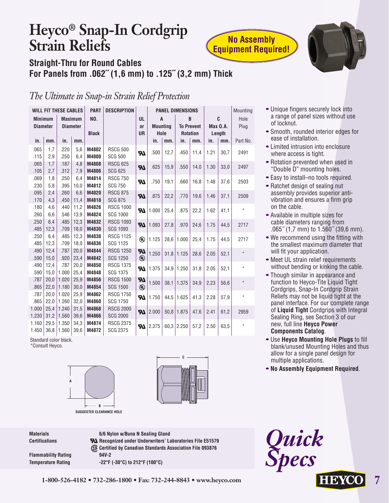# **Heyco® Snap-In Cordgrip Strain Reliefs**



## **Straight-Thru for Round Cables For Panels from .062˝ (1,6 mm) to .125˝ (3,2 mm) Thick**

## *The Ultimate in Snap-in Strain Relief Protection*

|                 |              | <b>WILL FIT THESE CABLES</b> |                 | <b>PART</b>    | <b>DESCRIPTION</b>                  |                            | <b>PANEL DIMENSIONS</b> |      |                   |      |                 | Mounting |          |
|-----------------|--------------|------------------------------|-----------------|----------------|-------------------------------------|----------------------------|-------------------------|------|-------------------|------|-----------------|----------|----------|
| <b>Minimum</b>  |              |                              | <b>Maximum</b>  | <b>NO.</b>     |                                     | UL                         | $\mathbf{A}$            |      | B                 |      |                 | C        | Hole     |
| <b>Diameter</b> |              |                              | <b>Diameter</b> |                |                                     | <b>or</b>                  | <b>Mounting</b>         |      | <b>To Prevent</b> |      | <b>Max 0.A.</b> |          | Plug     |
|                 |              |                              |                 | <b>Black</b>   |                                     | <b>UR</b>                  | Hole                    |      | <b>Rotation</b>   |      |                 | Length   |          |
| in.             | mm.          | in.                          | mm.             |                |                                     |                            | in.                     | mm.  | in.               | mm.  | in.             | mm.      | Part No. |
| .065            | 1,7          | .220                         | 5.6             | M4802          | <b>RSCG 500</b>                     | $\boldsymbol{\mathcal{H}}$ | .500                    | 12,7 | .450              | 11,4 | 1.21            | 30,7     | 2491     |
| .115            | 2,9          | .250                         | 6,4             | M4800          | <b>SCG 500</b>                      |                            |                         |      |                   |      |                 |          |          |
| .065            | 1,7          | .187                         | 4,8             | M4808          | <b>RSCG 625</b>                     | $\boldsymbol{\mathcal{H}}$ | .625                    | 15,9 | .550              | 14,0 | 1.30            | 33,0     | 2497     |
| .105            | 2,7          | .312                         | 7,9             | M4806          | <b>SCG 625</b>                      |                            |                         |      |                   |      |                 |          |          |
| .069            | 1,8          | .250                         | 6,4             | M4814          | <b>RSCG 750</b>                     | $\boldsymbol{\mathcal{H}}$ | .750                    | 19,1 | .660              | 16.8 | 1.48            | 37,6     | 2503     |
| .230            | 5,8          | .395                         | 10,0            | M4812          | <b>SCG 750</b>                      |                            |                         |      |                   |      |                 |          |          |
| .095            | 2,4          | .260                         | 6,6             | M4820          | <b>RSCG 875</b>                     | $\boldsymbol{\mathcal{H}}$ | .875                    | 22,2 | .770              | 19,6 | 1.46            | 37,1     | 2509     |
| .170            | 4,3          | .450                         | 11,4            | M4818          | <b>SCG 875</b>                      |                            |                         |      |                   |      |                 |          |          |
| .180            | 4.6          | .440                         | 11,2            | M4826          | <b>RSCG 1000</b>                    | <b>R</b>                   | 1.000                   | 25,4 | .875              | 22,2 | 1.62            | 41,1     | $\star$  |
| .260            | 6,6          | .546                         | 13,9            | M4824          | <b>SCG 1000</b>                     |                            |                         |      |                   |      |                 |          |          |
| .250            | 6,4          | .485                         | 12,3            | M4832          | <b>RSCG 1093</b>                    |                            | $71$ .093               | 27,8 | .970              | 24,6 | 1.75            | 44,5     | 2717     |
| .485            | 12.3         | .709                         | 18,0            | M4830          | <b>SCG 1093</b>                     |                            |                         |      |                   |      |                 |          |          |
| .250            | 6,4          | .485                         | 12,3            | M4838          | <b>RSCG 1125</b>                    | $^{\circledR}$             | 1.125                   | 28,6 | 1.000             | 25,4 | 1.75            | 44,5     | 2717     |
| .485            | 12,3         | .709                         | 18,0            | M4836          | <b>SCG 1125</b>                     |                            |                         |      |                   |      |                 |          |          |
| .490            | 12,4         | .787                         | 20,0            | M4844          | <b>RSCG 1250</b>                    | 77                         | 1.250                   | 31,8 | 1.125             | 28,6 | 2.05            | 52,1     | $\star$  |
| .590            | 15,0         | .920                         | 23,4            | M4842          | <b>SCG 1250</b>                     | $^{\circledR}$             |                         |      |                   |      |                 |          |          |
| .490            | 12,4         | .787                         | 20,0            | M4850          | <b>RSCG 1375</b>                    | 57                         | 1.375                   |      | $34.9$ 1.250      | 31,8 | 2.05            | 52,1     | $\star$  |
| .590            | 15,0         | 1.000<br>1.020               | 25,4            | M4848<br>M4856 | <b>SCG 1375</b><br><b>RSCG 1500</b> |                            |                         |      |                   |      |                 |          |          |
| .787            | 20,0         |                              | 25,9            |                | <b>SCG 1500</b>                     | $\boldsymbol{\mathcal{H}}$ | 1.500                   | 38,1 | 1.375             | 34,9 | 2.23            | 56,6     | $\star$  |
| .865<br>.787    | 22,0         | 1.180<br>1.020               | 30,0<br>25,9    | M4854<br>M4862 | <b>RSCG 1750</b>                    | $^{\circledR}$             |                         |      |                   |      |                 |          |          |
|                 | 20,0         | 1.260                        |                 | M4860          | <b>SCG 1750</b>                     | <b>R</b>                   | 1.750                   | 44,5 | 1.625             | 41,3 | 2.28            | 57,9     | $\star$  |
| .865<br>1.000   | 22,0<br>25,4 | 1.240                        | 32,0<br>31,5    | M4868          | <b>RSCG 2000</b>                    |                            |                         |      |                   |      |                 |          |          |
| 1.230           | 31,2         | 1.560                        | 39,6            | M4866          | <b>SCG 2000</b>                     | M                          | 2.000                   | 50,8 | 1.875             | 47,6 | 2.41            | 61,2     | 2959     |
| 1.160           | 29,5         | 1.350                        | 34,3            | M4874          | <b>RSCG 2375</b>                    |                            |                         |      |                   |      |                 |          |          |
| 1.450           | 36,8         | 1.560                        | 39,6            | M4872          | <b>SCG 2375</b>                     | <b>RI</b>                  | 2.375                   | 60,3 | 2.250             | 57,2 | 2.50            | 63,5     | $\star$  |
|                 |              |                              |                 |                |                                     |                            |                         |      |                   |      |                 |          |          |

Standard color black. \*Consult Heyco.





**Materials 6/6 Nylon w/Buna N Sealing Gland** Certifications **RA** Recognized under Underwriters' Laboratories File E51579 **Certified by Canadian Standards Association File 093876 Flammability Rating 94V-2 Temperature Rating -22°F (-30°C) to 212°F (100°C)**

**1-800-526-4182 • 732-286-1800 • Fax: 732-244-8843 • www.heyco.com 7**

- Unique fingers securely lock into a range of panel sizes without use of locknut.
- Smooth, rounded interior edges for ease of installation.
- Limited intrusion into enclosure where access is tight.
- Rotation prevented when used in "Double D" mounting holes.
- Easy to install–no tools required.
- Ratchet design of sealing nut assembly provides superior antivibration and ensures a firm grip on the cable.
- Available in multiple sizes for cable diameters ranging from .065˝ (1,7 mm) to 1.560˝ (39,6 mm).
- We recommend using the fitting with the smallest maximum diameter that will fit your application.
- Meet UL strain relief requirements without bending or kinking the cable.
- Though similar in appearance and function to Heyco-Tite Liquid Tight Cordgrips, Snap-In Cordgrip Strain Reliefs may not be liquid tight at the panel interface. For our complete range of **Liquid Tight** Cordgrips with Integral Sealing Ring, see Section 3 of our new, full line **Heyco Power Components Catalog**.
- Use **Heyco Mounting Hole Plugs** to fill blank/unused Mounting Holes and thus allow for a single panel design for multiple applications.
- **No Assembly Equipment Required**.